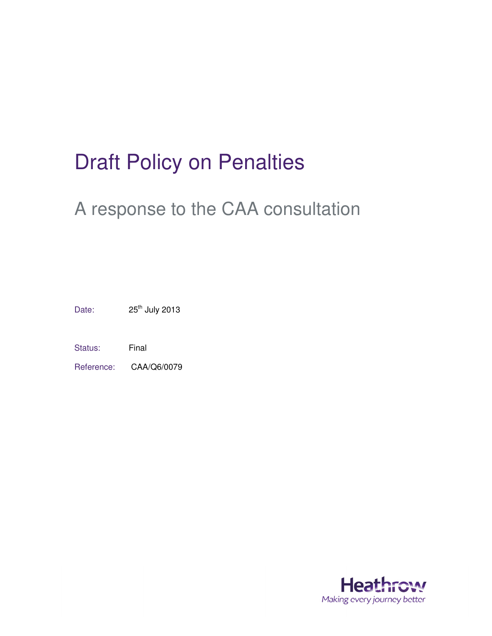# Draft Policy on Penalties

# A response to the CAA consultation

Date: 25<sup>th</sup> July 2013

Status: Final

Reference: CAA/Q6/0079

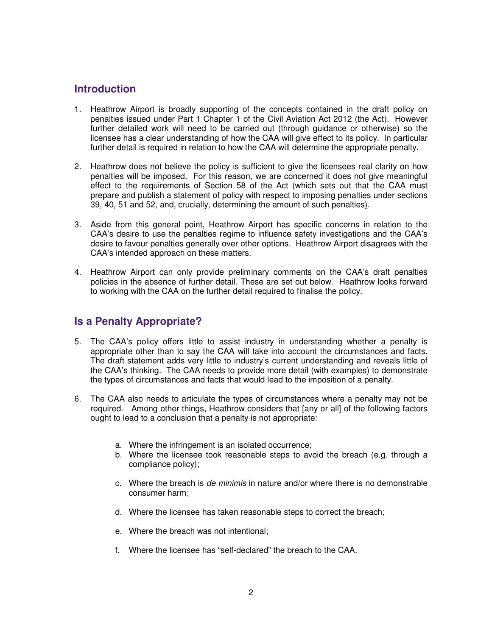## **Introduction**

- 1. Heathrow Airport is broadly supporting of the concepts contained in the draft policy on penalties issued under Part 1 Chapter 1 of the Civil Aviation Act 2012 (the Act). However further detailed work will need to be carried out (through guidance or otherwise) so the licensee has a clear understanding of how the CAA will give effect to its policy. In particular further detail is required in relation to how the CAA will determine the appropriate penalty.
- 2. Heathrow does not believe the policy is sufficient to give the licensees real clarity on how penalties will be imposed. For this reason, we are concerned it does not give meaningful effect to the requirements of Section 58 of the Act (which sets out that the CAA must prepare and publish a statement of policy with respect to imposing penalties under sections 39, 40, 51 and 52, and, crucially, determining the amount of such penalties).
- 3. Aside from this general point, Heathrow Airport has specific concerns in relation to the CAA's desire to use the penalties regime to influence safety investigations and the CAA's desire to favour penalties generally over other options. Heathrow Airport disagrees with the CAA's intended approach on these matters.
- 4. Heathrow Airport can only provide preliminary comments on the CAA's draft penalties policies in the absence of further detail. These are set out below. Heathrow looks forward to working with the CAA on the further detail required to finalise the policy.

### **Is a Penalty Appropriate?**

- 5. The CAA's policy offers little to assist industry in understanding whether a penalty is appropriate other than to say the CAA will take into account the circumstances and facts. The draft statement adds very little to industry's current understanding and reveals little of the CAA's thinking. The CAA needs to provide more detail (with examples) to demonstrate the types of circumstances and facts that would lead to the imposition of a penalty.
- 6. The CAA also needs to articulate the types of circumstances where a penalty may not be required. Among other things, Heathrow considers that [any or all] of the following factors ought to lead to a conclusion that a penalty is not appropriate:
	- a. Where the infringement is an isolated occurrence;
	- b. Where the licensee took reasonable steps to avoid the breach (e.g. through a compliance policy);
	- c. Where the breach is de minimis in nature and/or where there is no demonstrable consumer harm;
	- d. Where the licensee has taken reasonable steps to correct the breach;
	- e. Where the breach was not intentional;
	- f. Where the licensee has "self-declared" the breach to the CAA.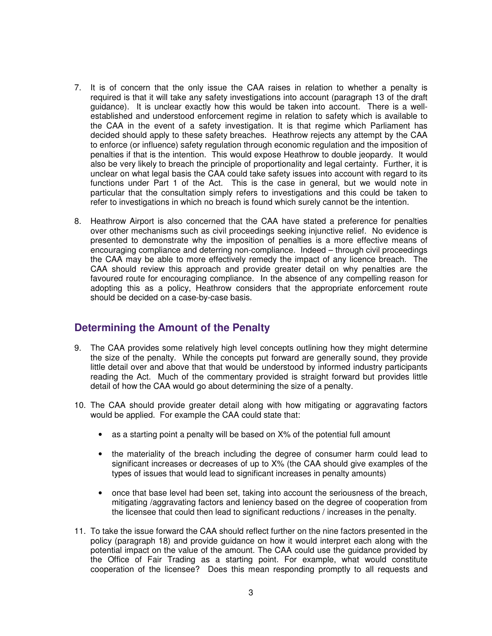- 7. It is of concern that the only issue the CAA raises in relation to whether a penalty is required is that it will take any safety investigations into account (paragraph 13 of the draft guidance). It is unclear exactly how this would be taken into account. There is a wellestablished and understood enforcement regime in relation to safety which is available to the CAA in the event of a safety investigation. It is that regime which Parliament has decided should apply to these safety breaches. Heathrow rejects any attempt by the CAA to enforce (or influence) safety regulation through economic regulation and the imposition of penalties if that is the intention. This would expose Heathrow to double jeopardy. It would also be very likely to breach the principle of proportionality and legal certainty. Further, it is unclear on what legal basis the CAA could take safety issues into account with regard to its functions under Part 1 of the Act. This is the case in general, but we would note in particular that the consultation simply refers to investigations and this could be taken to refer to investigations in which no breach is found which surely cannot be the intention.
- 8. Heathrow Airport is also concerned that the CAA have stated a preference for penalties over other mechanisms such as civil proceedings seeking injunctive relief. No evidence is presented to demonstrate why the imposition of penalties is a more effective means of encouraging compliance and deterring non-compliance. Indeed – through civil proceedings the CAA may be able to more effectively remedy the impact of any licence breach. The CAA should review this approach and provide greater detail on why penalties are the favoured route for encouraging compliance. In the absence of any compelling reason for adopting this as a policy, Heathrow considers that the appropriate enforcement route should be decided on a case-by-case basis.

#### **Determining the Amount of the Penalty**

- 9. The CAA provides some relatively high level concepts outlining how they might determine the size of the penalty. While the concepts put forward are generally sound, they provide little detail over and above that that would be understood by informed industry participants reading the Act. Much of the commentary provided is straight forward but provides little detail of how the CAA would go about determining the size of a penalty.
- 10. The CAA should provide greater detail along with how mitigating or aggravating factors would be applied. For example the CAA could state that:
	- as a starting point a penalty will be based on X% of the potential full amount
	- the materiality of the breach including the degree of consumer harm could lead to significant increases or decreases of up to X% (the CAA should give examples of the types of issues that would lead to significant increases in penalty amounts)
	- once that base level had been set, taking into account the seriousness of the breach, mitigating /aggravating factors and leniency based on the degree of cooperation from the licensee that could then lead to significant reductions / increases in the penalty.
- 11. To take the issue forward the CAA should reflect further on the nine factors presented in the policy (paragraph 18) and provide guidance on how it would interpret each along with the potential impact on the value of the amount. The CAA could use the guidance provided by the Office of Fair Trading as a starting point. For example, what would constitute cooperation of the licensee? Does this mean responding promptly to all requests and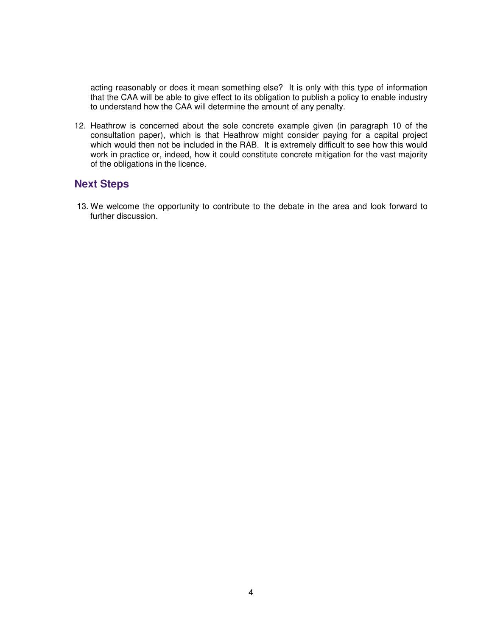acting reasonably or does it mean something else? It is only with this type of information that the CAA will be able to give effect to its obligation to publish a policy to enable industry to understand how the CAA will determine the amount of any penalty.

12. Heathrow is concerned about the sole concrete example given (in paragraph 10 of the consultation paper), which is that Heathrow might consider paying for a capital project which would then not be included in the RAB. It is extremely difficult to see how this would work in practice or, indeed, how it could constitute concrete mitigation for the vast majority of the obligations in the licence.

#### **Next Steps**

13. We welcome the opportunity to contribute to the debate in the area and look forward to further discussion.